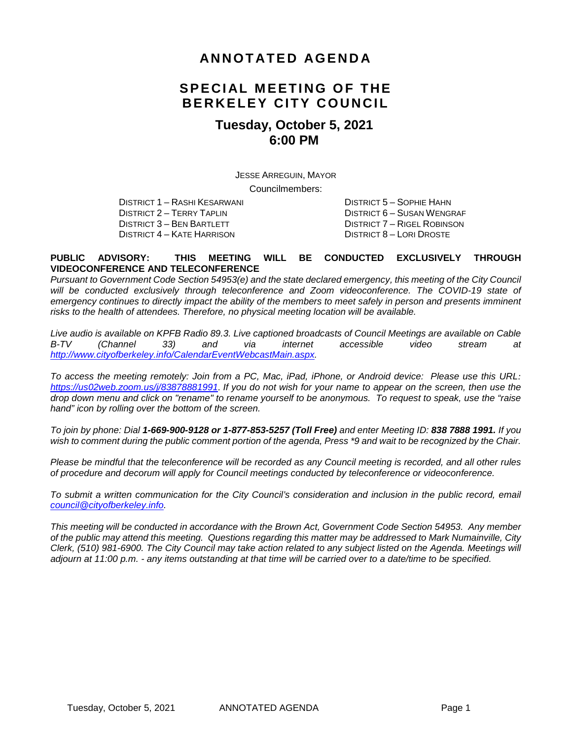#### **ANNOTATED AGENDA**

## **SPECIAL MEETING OF THE BERKELEY CITY COUNCIL**

#### **Tuesday, October 5, 2021 6:00 PM**

JESSE ARREGUIN, MAYOR

Councilmembers:

DISTRICT 1 – RASHI KESARWANI DISTRICT 5 – SOPHIE HAHN DISTRICT 2 – TERRY TAPLIN DISTRICT 6 – SUSAN WENGRAF DISTRICT 3 – BEN BARTLETT DISTRICT 7 – RIGEL ROBINSON DISTRICT 4 – KATE HARRISON DISTRICT 8 – LORI DROSTE

#### **PUBLIC ADVISORY: THIS MEETING WILL BE CONDUCTED EXCLUSIVELY THROUGH VIDEOCONFERENCE AND TELECONFERENCE**

*Pursuant to Government Code Section 54953(e) and the state declared emergency, this meeting of the City Council will be conducted exclusively through teleconference and Zoom videoconference. The COVID-19 state of emergency continues to directly impact the ability of the members to meet safely in person and presents imminent risks to the health of attendees. Therefore, no physical meeting location will be available.* 

*Live audio is available on KPFB Radio 89.3. Live captioned broadcasts of Council Meetings are available on Cable B-TV (Channel 33) and via internet accessible video stream at [http://www.cityofberkeley.info/CalendarEventWebcastMain.aspx.](http://www.cityofberkeley.info/CalendarEventWebcastMain.aspx)*

*To access the meeting remotely: Join from a PC, Mac, iPad, iPhone, or Android device: Please use this URL: <https://us02web.zoom.us/j/83878881991>. If you do not wish for your name to appear on the screen, then use the drop down menu and click on "rename" to rename yourself to be anonymous. To request to speak, use the "raise hand" icon by rolling over the bottom of the screen.* 

*To join by phone: Dial 1-669-900-9128 or 1-877-853-5257 (Toll Free) and enter Meeting ID: 838 7888 1991. If you*  wish to comment during the public comment portion of the agenda, Press \*9 and wait to be recognized by the Chair.

*Please be mindful that the teleconference will be recorded as any Council meeting is recorded, and all other rules of procedure and decorum will apply for Council meetings conducted by teleconference or videoconference.*

*To submit a written communication for the City Council's consideration and inclusion in the public record, email [council@cityofberkeley.info.](mailto:council@cityofberkeley.info)*

*This meeting will be conducted in accordance with the Brown Act, Government Code Section 54953. Any member of the public may attend this meeting. Questions regarding this matter may be addressed to Mark Numainville, City Clerk, (510) 981-6900. The City Council may take action related to any subject listed on the Agenda. Meetings will adjourn at 11:00 p.m. - any items outstanding at that time will be carried over to a date/time to be specified.*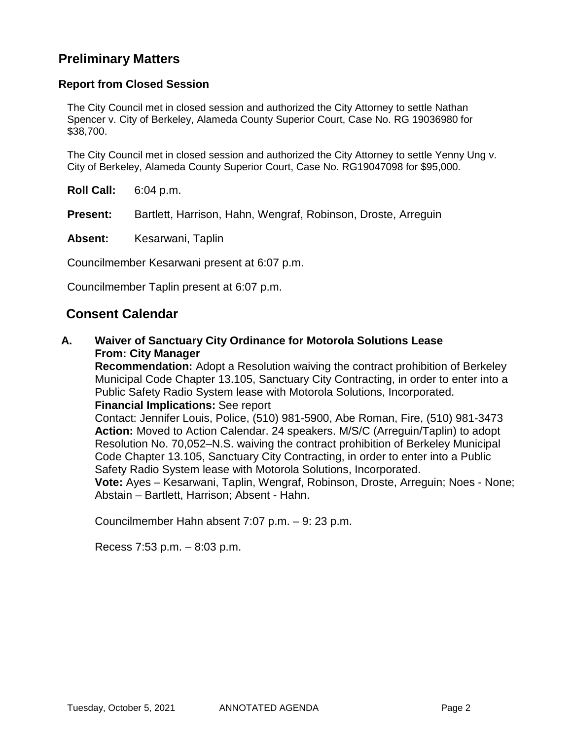#### **Preliminary Matters**

#### **Report from Closed Session**

The City Council met in closed session and authorized the City Attorney to settle Nathan Spencer v. City of Berkeley, Alameda County Superior Court, Case No. RG 19036980 for \$38,700.

The City Council met in closed session and authorized the City Attorney to settle Yenny Ung v. City of Berkeley, Alameda County Superior Court, Case No. RG19047098 for \$95,000.

**Roll Call:** 6:04 p.m.

**Present:** Bartlett, Harrison, Hahn, Wengraf, Robinson, Droste, Arreguin

**Absent:** Kesarwani, Taplin

Councilmember Kesarwani present at 6:07 p.m.

Councilmember Taplin present at 6:07 p.m.

#### **Consent Calendar**

**A. Waiver of Sanctuary City Ordinance for Motorola Solutions Lease From: City Manager**

**Recommendation:** Adopt a Resolution waiving the contract prohibition of Berkeley Municipal Code Chapter 13.105, Sanctuary City Contracting, in order to enter into a Public Safety Radio System lease with Motorola Solutions, Incorporated. **Financial Implications:** See report

Contact: Jennifer Louis, Police, (510) 981-5900, Abe Roman, Fire, (510) 981-3473 **Action:** Moved to Action Calendar. 24 speakers. M/S/C (Arreguin/Taplin) to adopt Resolution No. 70,052–N.S. waiving the contract prohibition of Berkeley Municipal Code Chapter 13.105, Sanctuary City Contracting, in order to enter into a Public Safety Radio System lease with Motorola Solutions, Incorporated.

**Vote:** Ayes – Kesarwani, Taplin, Wengraf, Robinson, Droste, Arreguin; Noes - None; Abstain – Bartlett, Harrison; Absent - Hahn.

Councilmember Hahn absent 7:07 p.m. – 9: 23 p.m.

Recess 7:53 p.m. – 8:03 p.m.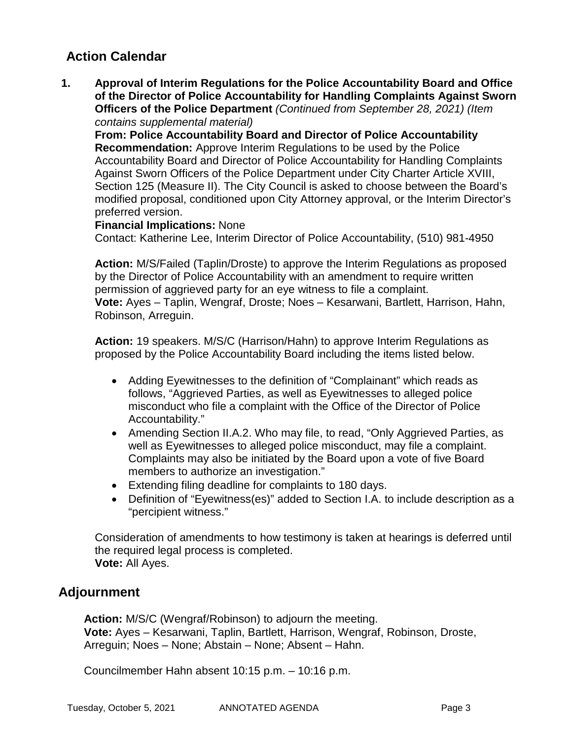### **Action Calendar**

**1. Approval of Interim Regulations for the Police Accountability Board and Office of the Director of Police Accountability for Handling Complaints Against Sworn Officers of the Police Department** *(Continued from September 28, 2021) (Item contains supplemental material)*

**From: Police Accountability Board and Director of Police Accountability Recommendation:** Approve Interim Regulations to be used by the Police Accountability Board and Director of Police Accountability for Handling Complaints Against Sworn Officers of the Police Department under City Charter Article XVIII, Section 125 (Measure II). The City Council is asked to choose between the Board's modified proposal, conditioned upon City Attorney approval, or the Interim Director's preferred version.

#### **Financial Implications:** None

Contact: Katherine Lee, Interim Director of Police Accountability, (510) 981-4950

**Action:** M/S/Failed (Taplin/Droste) to approve the Interim Regulations as proposed by the Director of Police Accountability with an amendment to require written permission of aggrieved party for an eye witness to file a complaint. **Vote:** Ayes – Taplin, Wengraf, Droste; Noes – Kesarwani, Bartlett, Harrison, Hahn, Robinson, Arreguin.

**Action:** 19 speakers. M/S/C (Harrison/Hahn) to approve Interim Regulations as proposed by the Police Accountability Board including the items listed below.

- Adding Eyewitnesses to the definition of "Complainant" which reads as follows, "Aggrieved Parties, as well as Eyewitnesses to alleged police misconduct who file a complaint with the Office of the Director of Police Accountability."
- Amending Section II.A.2. Who may file, to read, "Only Aggrieved Parties, as well as Eyewitnesses to alleged police misconduct, may file a complaint. Complaints may also be initiated by the Board upon a vote of five Board members to authorize an investigation."
- Extending filing deadline for complaints to 180 days.
- Definition of "Eyewitness(es)" added to Section I.A. to include description as a "percipient witness."

Consideration of amendments to how testimony is taken at hearings is deferred until the required legal process is completed. **Vote:** All Ayes.

# **Adjournment**

**Action:** M/S/C (Wengraf/Robinson) to adjourn the meeting. **Vote:** Ayes – Kesarwani, Taplin, Bartlett, Harrison, Wengraf, Robinson, Droste, Arreguin; Noes – None; Abstain – None; Absent – Hahn.

Councilmember Hahn absent 10:15 p.m. – 10:16 p.m.